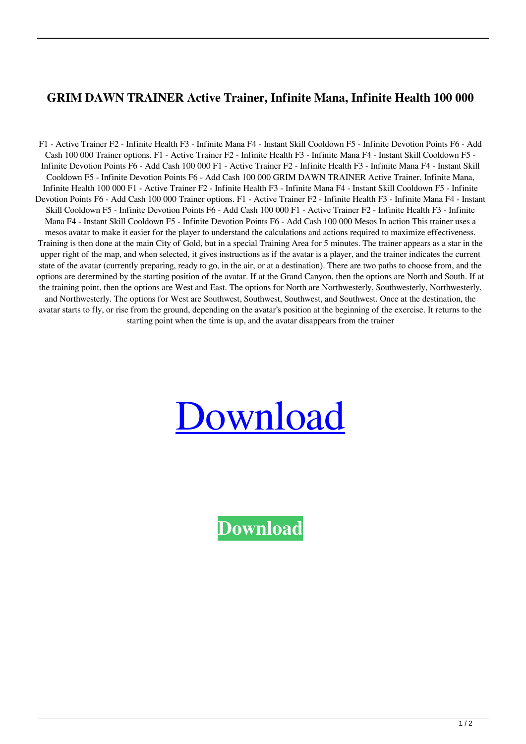## **GRIM DAWN TRAINER Active Trainer, Infinite Mana, Infinite Health 100 000**

F1 - Active Trainer F2 - Infinite Health F3 - Infinite Mana F4 - Instant Skill Cooldown F5 - Infinite Devotion Points F6 - Add Cash 100 000 Trainer options. F1 - Active Trainer F2 - Infinite Health F3 - Infinite Mana F4 - Instant Skill Cooldown F5 - Infinite Devotion Points F6 - Add Cash 100 000 F1 - Active Trainer F2 - Infinite Health F3 - Infinite Mana F4 - Instant Skill Cooldown F5 - Infinite Devotion Points F6 - Add Cash 100 000 GRIM DAWN TRAINER Active Trainer, Infinite Mana, Infinite Health 100 000 F1 - Active Trainer F2 - Infinite Health F3 - Infinite Mana F4 - Instant Skill Cooldown F5 - Infinite Devotion Points F6 - Add Cash 100 000 Trainer options. F1 - Active Trainer F2 - Infinite Health F3 - Infinite Mana F4 - Instant Skill Cooldown F5 - Infinite Devotion Points F6 - Add Cash 100 000 F1 - Active Trainer F2 - Infinite Health F3 - Infinite Mana F4 - Instant Skill Cooldown F5 - Infinite Devotion Points F6 - Add Cash 100 000 Mesos In action This trainer uses a mesos avatar to make it easier for the player to understand the calculations and actions required to maximize effectiveness. Training is then done at the main City of Gold, but in a special Training Area for 5 minutes. The trainer appears as a star in the upper right of the map, and when selected, it gives instructions as if the avatar is a player, and the trainer indicates the current state of the avatar (currently preparing, ready to go, in the air, or at a destination). There are two paths to choose from, and the options are determined by the starting position of the avatar. If at the Grand Canyon, then the options are North and South. If at the training point, then the options are West and East. The options for North are Northwesterly, Southwesterly, Northwesterly, and Northwesterly. The options for West are Southwest, Southwest, Southwest, and Southwest. Once at the destination, the avatar starts to fly, or rise from the ground, depending on the avatar's position at the beginning of the exercise. It returns to the starting point when the time is up, and the avatar disappears from the trainer

## [Download](http://evacdir.com/?bronchoconstriction=datacrime&spellings=swap/metropolitans/ZG93bmxvYWR8T0cwTm1ONmZId3hOalV5TnpRd09EWTJmSHd5TlRjMGZId29UU2tnY21WaFpDMWliRzluSUZ0R1lYTjBJRWRGVGww/provisions.R1JJTSBEQVdOIFRSQUlORVIgQWN0aXZlIFRyYWluZXIsIEluZmluaXRlIE1hbmEsIEluZmluaXRlIEhlYWx0aCAxMDAgMDAwR1J)

**[Download](http://evacdir.com/?bronchoconstriction=datacrime&spellings=swap/metropolitans/ZG93bmxvYWR8T0cwTm1ONmZId3hOalV5TnpRd09EWTJmSHd5TlRjMGZId29UU2tnY21WaFpDMWliRzluSUZ0R1lYTjBJRWRGVGww/provisions.R1JJTSBEQVdOIFRSQUlORVIgQWN0aXZlIFRyYWluZXIsIEluZmluaXRlIE1hbmEsIEluZmluaXRlIEhlYWx0aCAxMDAgMDAwR1J)**